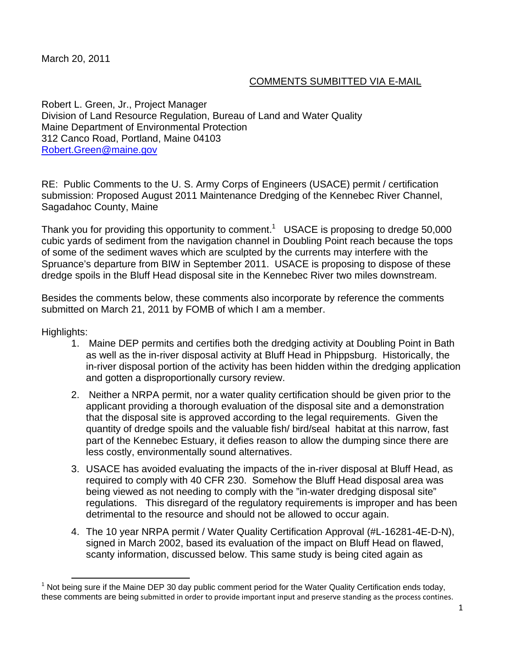March 20, 2011

# COMMENTS SUMBITTED VIA E-MAIL

Robert L. Green, Jr., Project Manager Division of Land Resource Regulation, Bureau of Land and Water Quality Maine Department of Environmental Protection 312 Canco Road, Portland, Maine 04103 Robert.Green@maine.gov

RE: Public Comments to the U. S. Army Corps of Engineers (USACE) permit / certification submission: Proposed August 2011 Maintenance Dredging of the Kennebec River Channel, Sagadahoc County, Maine

Thank you for providing this opportunity to comment.<sup>1</sup> USACE is proposing to dredge 50,000 cubic yards of sediment from the navigation channel in Doubling Point reach because the tops of some of the sediment waves which are sculpted by the currents may interfere with the Spruance's departure from BIW in September 2011. USACE is proposing to dispose of these dredge spoils in the Bluff Head disposal site in the Kennebec River two miles downstream.

Besides the comments below, these comments also incorporate by reference the comments submitted on March 21, 2011 by FOMB of which I am a member.

Highlights:

- 1. Maine DEP permits and certifies both the dredging activity at Doubling Point in Bath as well as the in-river disposal activity at Bluff Head in Phippsburg. Historically, the in-river disposal portion of the activity has been hidden within the dredging application and gotten a disproportionally cursory review.
- 2. Neither a NRPA permit, nor a water quality certification should be given prior to the applicant providing a thorough evaluation of the disposal site and a demonstration that the disposal site is approved according to the legal requirements. Given the quantity of dredge spoils and the valuable fish/ bird/seal habitat at this narrow, fast part of the Kennebec Estuary, it defies reason to allow the dumping since there are less costly, environmentally sound alternatives.
- 3. USACE has avoided evaluating the impacts of the in-river disposal at Bluff Head, as required to comply with 40 CFR 230. Somehow the Bluff Head disposal area was being viewed as not needing to comply with the "in-water dredging disposal site" regulations. This disregard of the regulatory requirements is improper and has been detrimental to the resource and should not be allowed to occur again.
- 4. The 10 year NRPA permit / Water Quality Certification Approval (#L-16281-4E-D-N), signed in March 2002, based its evaluation of the impact on Bluff Head on flawed, scanty information, discussed below. This same study is being cited again as

<sup>1&</sup>lt;br>
<sup>1</sup> Not being sure if the Maine DEP 30 day public comment period for the Water Quality Certification ends today, these comments are being submitted in order to provide important input and preserve standing as the process contines.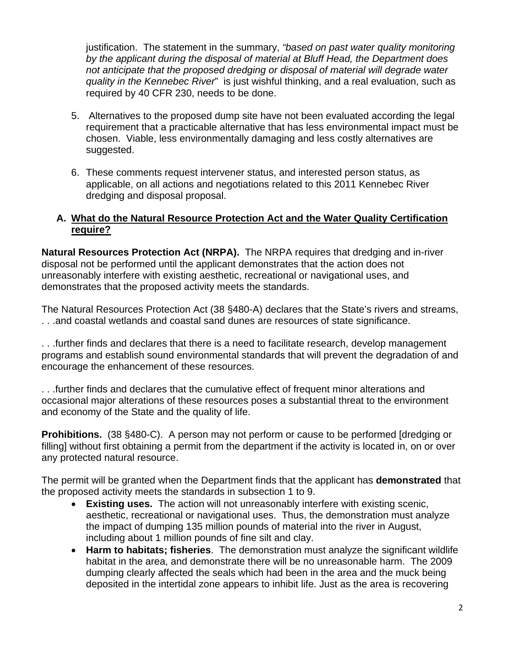justification. The statement in the summary, *"based on past water quality monitoring by the applicant during the disposal of material at Bluff Head, the Department does not anticipate that the proposed dredging or disposal of material will degrade water quality in the Kennebec River*" is just wishful thinking, and a real evaluation, such as required by 40 CFR 230, needs to be done.

- 5. Alternatives to the proposed dump site have not been evaluated according the legal requirement that a practicable alternative that has less environmental impact must be chosen. Viable, less environmentally damaging and less costly alternatives are suggested.
- 6. These comments request intervener status, and interested person status, as applicable, on all actions and negotiations related to this 2011 Kennebec River dredging and disposal proposal.

### **A. What do the Natural Resource Protection Act and the Water Quality Certification require?**

**Natural Resources Protection Act (NRPA).** The NRPA requires that dredging and in-river disposal not be performed until the applicant demonstrates that the action does not unreasonably interfere with existing aesthetic, recreational or navigational uses, and demonstrates that the proposed activity meets the standards.

The Natural Resources Protection Act (38 §480-A) declares that the State's rivers and streams, . . .and coastal wetlands and coastal sand dunes are resources of state significance.

. . .further finds and declares that there is a need to facilitate research, develop management programs and establish sound environmental standards that will prevent the degradation of and encourage the enhancement of these resources.

. . .further finds and declares that the cumulative effect of frequent minor alterations and occasional major alterations of these resources poses a substantial threat to the environment and economy of the State and the quality of life.

**Prohibitions.** (38 §480-C). A person may not perform or cause to be performed [dredging or filling] without first obtaining a permit from the department if the activity is located in, on or over any protected natural resource.

The permit will be granted when the Department finds that the applicant has **demonstrated** that the proposed activity meets the standards in subsection 1 to 9.

- **Existing uses.** The action will not unreasonably interfere with existing scenic, aesthetic, recreational or navigational uses. Thus, the demonstration must analyze the impact of dumping 135 million pounds of material into the river in August, including about 1 million pounds of fine silt and clay.
- **Harm to habitats; fisheries**. The demonstration must analyze the significant wildlife habitat in the area, and demonstrate there will be no unreasonable harm. The 2009 dumping clearly affected the seals which had been in the area and the muck being deposited in the intertidal zone appears to inhibit life. Just as the area is recovering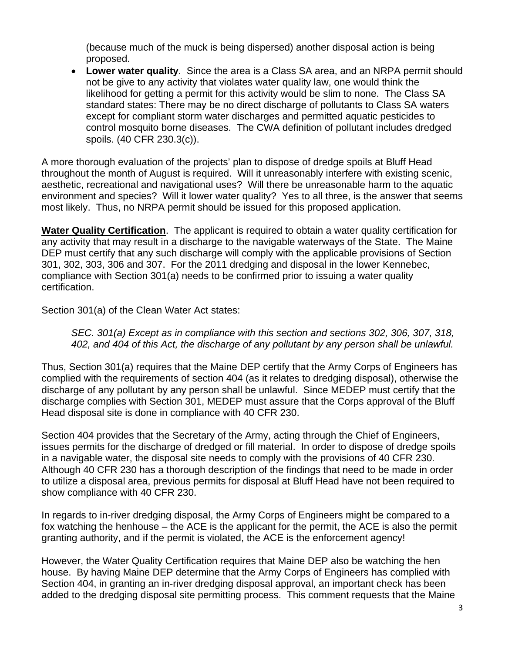(because much of the muck is being dispersed) another disposal action is being proposed.

 **Lower water quality**. Since the area is a Class SA area, and an NRPA permit should not be give to any activity that violates water quality law, one would think the likelihood for getting a permit for this activity would be slim to none. The Class SA standard states: There may be no direct discharge of pollutants to Class SA waters except for compliant storm water discharges and permitted aquatic pesticides to control mosquito borne diseases. The CWA definition of pollutant includes dredged spoils. (40 CFR 230.3(c)).

A more thorough evaluation of the projects' plan to dispose of dredge spoils at Bluff Head throughout the month of August is required. Will it unreasonably interfere with existing scenic, aesthetic, recreational and navigational uses? Will there be unreasonable harm to the aquatic environment and species? Will it lower water quality? Yes to all three, is the answer that seems most likely. Thus, no NRPA permit should be issued for this proposed application.

**Water Quality Certification**. The applicant is required to obtain a water quality certification for any activity that may result in a discharge to the navigable waterways of the State. The Maine DEP must certify that any such discharge will comply with the applicable provisions of Section 301, 302, 303, 306 and 307. For the 2011 dredging and disposal in the lower Kennebec, compliance with Section 301(a) needs to be confirmed prior to issuing a water quality certification.

Section 301(a) of the Clean Water Act states:

*SEC. 301(a) Except as in compliance with this section and sections 302, 306, 307, 318, 402, and 404 of this Act, the discharge of any pollutant by any person shall be unlawful.* 

Thus, Section 301(a) requires that the Maine DEP certify that the Army Corps of Engineers has complied with the requirements of section 404 (as it relates to dredging disposal), otherwise the discharge of any pollutant by any person shall be unlawful. Since MEDEP must certify that the discharge complies with Section 301, MEDEP must assure that the Corps approval of the Bluff Head disposal site is done in compliance with 40 CFR 230.

Section 404 provides that the Secretary of the Army, acting through the Chief of Engineers, issues permits for the discharge of dredged or fill material. In order to dispose of dredge spoils in a navigable water, the disposal site needs to comply with the provisions of 40 CFR 230. Although 40 CFR 230 has a thorough description of the findings that need to be made in order to utilize a disposal area, previous permits for disposal at Bluff Head have not been required to show compliance with 40 CFR 230.

In regards to in-river dredging disposal, the Army Corps of Engineers might be compared to a fox watching the henhouse – the ACE is the applicant for the permit, the ACE is also the permit granting authority, and if the permit is violated, the ACE is the enforcement agency!

However, the Water Quality Certification requires that Maine DEP also be watching the hen house. By having Maine DEP determine that the Army Corps of Engineers has complied with Section 404, in granting an in-river dredging disposal approval, an important check has been added to the dredging disposal site permitting process. This comment requests that the Maine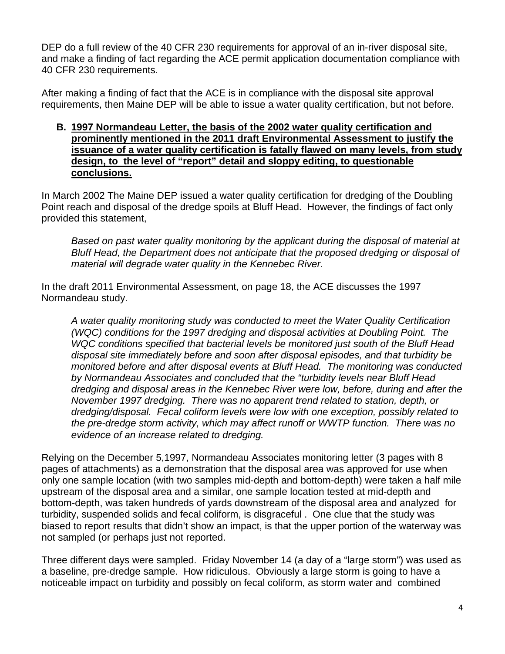DEP do a full review of the 40 CFR 230 requirements for approval of an in-river disposal site, and make a finding of fact regarding the ACE permit application documentation compliance with 40 CFR 230 requirements.

After making a finding of fact that the ACE is in compliance with the disposal site approval requirements, then Maine DEP will be able to issue a water quality certification, but not before.

#### **B. 1997 Normandeau Letter, the basis of the 2002 water quality certification and prominently mentioned in the 2011 draft Environmental Assessment to justify the issuance of a water quality certification is fatally flawed on many levels, from study design, to the level of "report" detail and sloppy editing, to questionable conclusions.**

In March 2002 The Maine DEP issued a water quality certification for dredging of the Doubling Point reach and disposal of the dredge spoils at Bluff Head. However, the findings of fact only provided this statement,

*Based on past water quality monitoring by the applicant during the disposal of material at Bluff Head, the Department does not anticipate that the proposed dredging or disposal of material will degrade water quality in the Kennebec River.*

In the draft 2011 Environmental Assessment, on page 18, the ACE discusses the 1997 Normandeau study.

*A water quality monitoring study was conducted to meet the Water Quality Certification (WQC) conditions for the 1997 dredging and disposal activities at Doubling Point. The WQC conditions specified that bacterial levels be monitored just south of the Bluff Head disposal site immediately before and soon after disposal episodes, and that turbidity be monitored before and after disposal events at Bluff Head. The monitoring was conducted by Normandeau Associates and concluded that the "turbidity levels near Bluff Head dredging and disposal areas in the Kennebec River were low, before, during and after the November 1997 dredging. There was no apparent trend related to station, depth, or dredging/disposal. Fecal coliform levels were low with one exception, possibly related to the pre-dredge storm activity, which may affect runoff or WWTP function. There was no evidence of an increase related to dredging.* 

Relying on the December 5,1997, Normandeau Associates monitoring letter (3 pages with 8 pages of attachments) as a demonstration that the disposal area was approved for use when only one sample location (with two samples mid-depth and bottom-depth) were taken a half mile upstream of the disposal area and a similar, one sample location tested at mid-depth and bottom-depth, was taken hundreds of yards downstream of the disposal area and analyzed for turbidity, suspended solids and fecal coliform, is disgraceful . One clue that the study was biased to report results that didn't show an impact, is that the upper portion of the waterway was not sampled (or perhaps just not reported.

Three different days were sampled. Friday November 14 (a day of a "large storm") was used as a baseline, pre-dredge sample. How ridiculous. Obviously a large storm is going to have a noticeable impact on turbidity and possibly on fecal coliform, as storm water and combined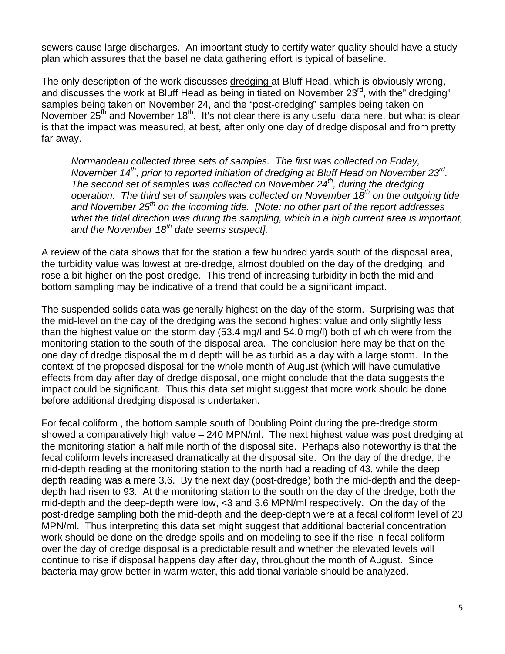sewers cause large discharges. An important study to certify water quality should have a study plan which assures that the baseline data gathering effort is typical of baseline.

The only description of the work discusses dredging at Bluff Head, which is obviously wrong, and discusses the work at Bluff Head as being initiated on November  $23<sup>rd</sup>$ , with the" dredging" samples being taken on November 24, and the "post-dredging" samples being taken on November  $25<sup>th</sup>$  and November 18<sup>th</sup>. It's not clear there is any useful data here, but what is clear is that the impact was measured, at best, after only one day of dredge disposal and from pretty far away.

*Normandeau collected three sets of samples. The first was collected on Friday, November 14<sup>th</sup>, prior to reported initiation of dredging at Bluff Head on November 23<sup>rd</sup>. The second set of samples was collected on November 24<sup>th</sup>, during the dredging* operation. The third set of samples was collected on November 18<sup>th</sup> on the outgoing tide *and November 25<sup>th</sup> on the incoming tide. [Note: no other part of the report addresses what the tidal direction was during the sampling, which in a high current area is important, and the November 18th date seems suspect].* 

A review of the data shows that for the station a few hundred yards south of the disposal area, the turbidity value was lowest at pre-dredge, almost doubled on the day of the dredging, and rose a bit higher on the post-dredge. This trend of increasing turbidity in both the mid and bottom sampling may be indicative of a trend that could be a significant impact.

The suspended solids data was generally highest on the day of the storm. Surprising was that the mid-level on the day of the dredging was the second highest value and only slightly less than the highest value on the storm day (53.4 mg/l and 54.0 mg/l) both of which were from the monitoring station to the south of the disposal area. The conclusion here may be that on the one day of dredge disposal the mid depth will be as turbid as a day with a large storm. In the context of the proposed disposal for the whole month of August (which will have cumulative effects from day after day of dredge disposal, one might conclude that the data suggests the impact could be significant. Thus this data set might suggest that more work should be done before additional dredging disposal is undertaken.

For fecal coliform , the bottom sample south of Doubling Point during the pre-dredge storm showed a comparatively high value – 240 MPN/ml. The next highest value was post dredging at the monitoring station a half mile north of the disposal site. Perhaps also noteworthy is that the fecal coliform levels increased dramatically at the disposal site. On the day of the dredge, the mid-depth reading at the monitoring station to the north had a reading of 43, while the deep depth reading was a mere 3.6. By the next day (post-dredge) both the mid-depth and the deepdepth had risen to 93. At the monitoring station to the south on the day of the dredge, both the mid-depth and the deep-depth were low, <3 and 3.6 MPN/ml respectively. On the day of the post-dredge sampling both the mid-depth and the deep-depth were at a fecal coliform level of 23 MPN/ml. Thus interpreting this data set might suggest that additional bacterial concentration work should be done on the dredge spoils and on modeling to see if the rise in fecal coliform over the day of dredge disposal is a predictable result and whether the elevated levels will continue to rise if disposal happens day after day, throughout the month of August. Since bacteria may grow better in warm water, this additional variable should be analyzed.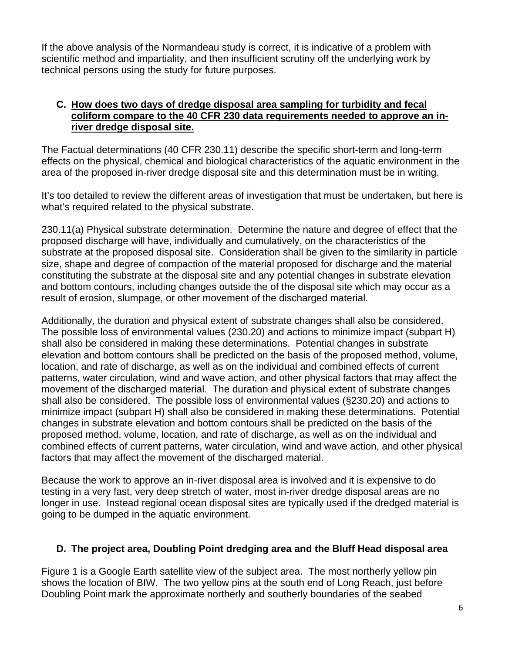If the above analysis of the Normandeau study is correct, it is indicative of a problem with scientific method and impartiality, and then insufficient scrutiny off the underlying work by technical persons using the study for future purposes.

### **C. How does two days of dredge disposal area sampling for turbidity and fecal coliform compare to the 40 CFR 230 data requirements needed to approve an inriver dredge disposal site.**

The Factual determinations (40 CFR 230.11) describe the specific short-term and long-term effects on the physical, chemical and biological characteristics of the aquatic environment in the area of the proposed in-river dredge disposal site and this determination must be in writing.

It's too detailed to review the different areas of investigation that must be undertaken, but here is what's required related to the physical substrate.

230.11(a) Physical substrate determination. Determine the nature and degree of effect that the proposed discharge will have, individually and cumulatively, on the characteristics of the substrate at the proposed disposal site. Consideration shall be given to the similarity in particle size, shape and degree of compaction of the material proposed for discharge and the material constituting the substrate at the disposal site and any potential changes in substrate elevation and bottom contours, including changes outside the of the disposal site which may occur as a result of erosion, slumpage, or other movement of the discharged material.

Additionally, the duration and physical extent of substrate changes shall also be considered. The possible loss of environmental values (230.20) and actions to minimize impact (subpart H) shall also be considered in making these determinations. Potential changes in substrate elevation and bottom contours shall be predicted on the basis of the proposed method, volume, location, and rate of discharge, as well as on the individual and combined effects of current patterns, water circulation, wind and wave action, and other physical factors that may affect the movement of the discharged material. The duration and physical extent of substrate changes shall also be considered. The possible loss of environmental values (§230.20) and actions to minimize impact (subpart H) shall also be considered in making these determinations. Potential changes in substrate elevation and bottom contours shall be predicted on the basis of the proposed method, volume, location, and rate of discharge, as well as on the individual and combined effects of current patterns, water circulation, wind and wave action, and other physical factors that may affect the movement of the discharged material.

Because the work to approve an in-river disposal area is involved and it is expensive to do testing in a very fast, very deep stretch of water, most in-river dredge disposal areas are no longer in use. Instead regional ocean disposal sites are typically used if the dredged material is going to be dumped in the aquatic environment.

## **D. The project area, Doubling Point dredging area and the Bluff Head disposal area**

Figure 1 is a Google Earth satellite view of the subject area. The most northerly yellow pin shows the location of BIW. The two yellow pins at the south end of Long Reach, just before Doubling Point mark the approximate northerly and southerly boundaries of the seabed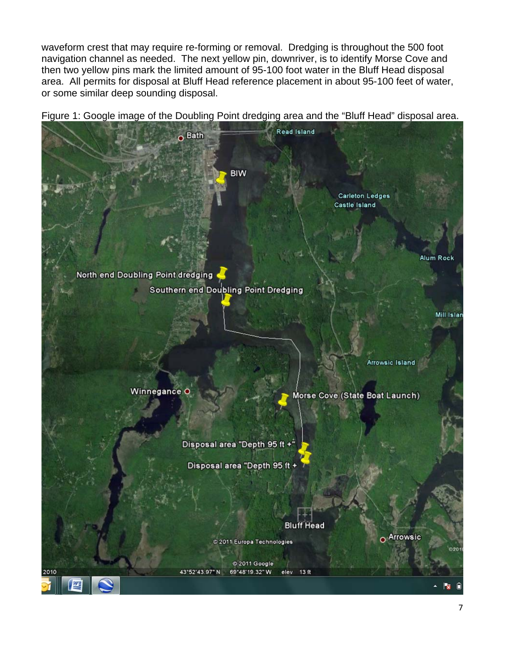waveform crest that may require re-forming or removal. Dredging is throughout the 500 foot navigation channel as needed. The next yellow pin, downriver, is to identify Morse Cove and then two yellow pins mark the limited amount of 95-100 foot water in the Bluff Head disposal area. All permits for disposal at Bluff Head reference placement in about 95-100 feet of water, or some similar deep sounding disposal.

Figure 1: Google image of the Doubling Point dredging area and the "Bluff Head" disposal area.

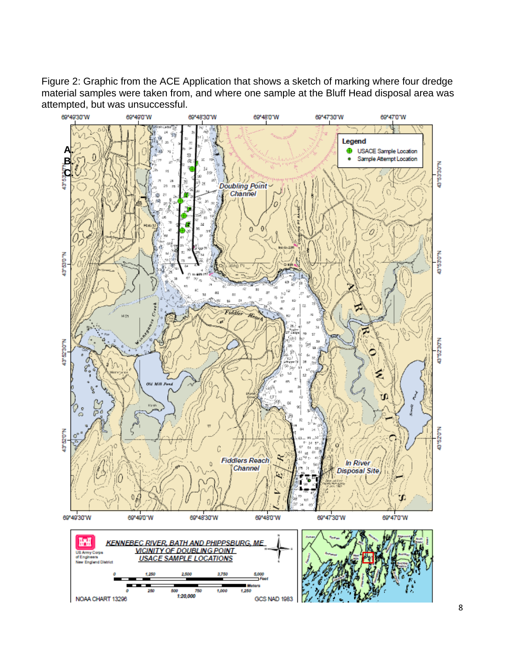Figure 2: Graphic from the ACE Application that shows a sketch of marking where four dredge material samples were taken from, and where one sample at the Bluff Head disposal area was attempted, but was unsuccessful.

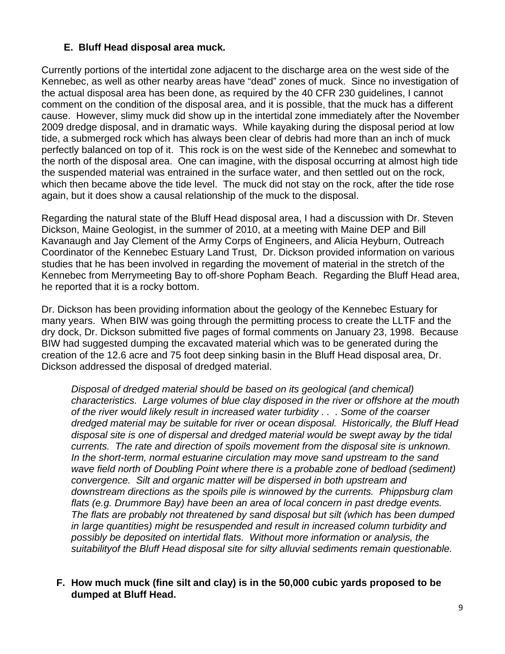# **E. Bluff Head disposal area muck.**

Currently portions of the intertidal zone adjacent to the discharge area on the west side of the Kennebec, as well as other nearby areas have "dead" zones of muck. Since no investigation of the actual disposal area has been done, as required by the 40 CFR 230 guidelines, I cannot comment on the condition of the disposal area, and it is possible, that the muck has a different cause. However, slimy muck did show up in the intertidal zone immediately after the November 2009 dredge disposal, and in dramatic ways. While kayaking during the disposal period at low tide, a submerged rock which has always been clear of debris had more than an inch of muck perfectly balanced on top of it. This rock is on the west side of the Kennebec and somewhat to the north of the disposal area. One can imagine, with the disposal occurring at almost high tide the suspended material was entrained in the surface water, and then settled out on the rock, which then became above the tide level. The muck did not stay on the rock, after the tide rose again, but it does show a causal relationship of the muck to the disposal.

Regarding the natural state of the Bluff Head disposal area, I had a discussion with Dr. Steven Dickson, Maine Geologist, in the summer of 2010, at a meeting with Maine DEP and Bill Kavanaugh and Jay Clement of the Army Corps of Engineers, and Alicia Heyburn, Outreach Coordinator of the Kennebec Estuary Land Trust, Dr. Dickson provided information on various studies that he has been involved in regarding the movement of material in the stretch of the Kennebec from Merrymeeting Bay to off-shore Popham Beach. Regarding the Bluff Head area, he reported that it is a rocky bottom.

Dr. Dickson has been providing information about the geology of the Kennebec Estuary for many years. When BIW was going through the permitting process to create the LLTF and the dry dock, Dr. Dickson submitted five pages of formal comments on January 23, 1998. Because BIW had suggested dumping the excavated material which was to be generated during the creation of the 12.6 acre and 75 foot deep sinking basin in the Bluff Head disposal area, Dr. Dickson addressed the disposal of dredged material.

*Disposal of dredged material should be based on its geological (and chemical) characteristics. Large volumes of blue clay disposed in the river or offshore at the mouth of the river would likely result in increased water turbidity . . . Some of the coarser dredged material may be suitable for river or ocean disposal. Historically, the Bluff Head disposal site is one of dispersal and dredged material would be swept away by the tidal currents. The rate and direction of spoils movement from the disposal site is unknown. In the short-term, normal estuarine circulation may move sand upstream to the sand wave field north of Doubling Point where there is a probable zone of bedload (sediment) convergence. Silt and organic matter will be dispersed in both upstream and downstream directions as the spoils pile is winnowed by the currents. Phippsburg clam flats (e.g. Drummore Bay) have been an area of local concern in past dredge events. The flats are probably not threatened by sand disposal but silt (which has been dumped in large quantities) might be resuspended and result in increased column turbidity and possibly be deposited on intertidal flats. Without more information or analysis, the suitabilityof the Bluff Head disposal site for silty alluvial sediments remain questionable.* 

#### **F. How much muck (fine silt and clay) is in the 50,000 cubic yards proposed to be dumped at Bluff Head.**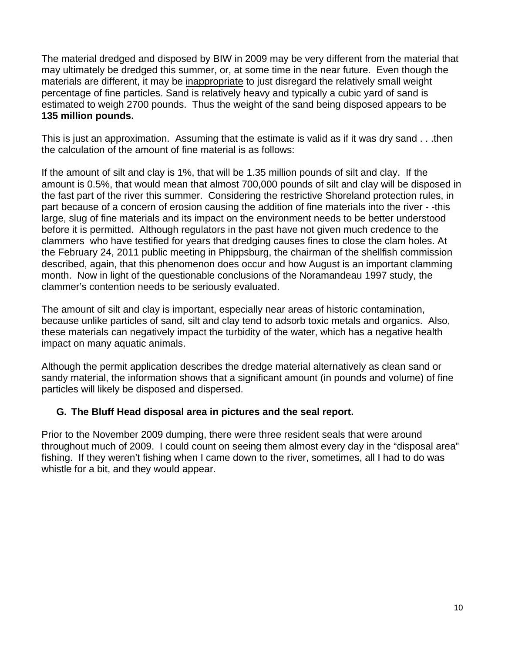The material dredged and disposed by BIW in 2009 may be very different from the material that may ultimately be dredged this summer, or, at some time in the near future. Even though the materials are different, it may be inappropriate to just disregard the relatively small weight percentage of fine particles. Sand is relatively heavy and typically a cubic yard of sand is estimated to weigh 2700 pounds. Thus the weight of the sand being disposed appears to be **135 million pounds.** 

This is just an approximation. Assuming that the estimate is valid as if it was dry sand . . .then the calculation of the amount of fine material is as follows:

If the amount of silt and clay is 1%, that will be 1.35 million pounds of silt and clay. If the amount is 0.5%, that would mean that almost 700,000 pounds of silt and clay will be disposed in the fast part of the river this summer. Considering the restrictive Shoreland protection rules, in part because of a concern of erosion causing the addition of fine materials into the river - -this large, slug of fine materials and its impact on the environment needs to be better understood before it is permitted. Although regulators in the past have not given much credence to the clammers who have testified for years that dredging causes fines to close the clam holes. At the February 24, 2011 public meeting in Phippsburg, the chairman of the shellfish commission described, again, that this phenomenon does occur and how August is an important clamming month. Now in light of the questionable conclusions of the Noramandeau 1997 study, the clammer's contention needs to be seriously evaluated.

The amount of silt and clay is important, especially near areas of historic contamination, because unlike particles of sand, silt and clay tend to adsorb toxic metals and organics. Also, these materials can negatively impact the turbidity of the water, which has a negative health impact on many aquatic animals.

Although the permit application describes the dredge material alternatively as clean sand or sandy material, the information shows that a significant amount (in pounds and volume) of fine particles will likely be disposed and dispersed.

## **G. The Bluff Head disposal area in pictures and the seal report.**

Prior to the November 2009 dumping, there were three resident seals that were around throughout much of 2009. I could count on seeing them almost every day in the "disposal area" fishing. If they weren't fishing when I came down to the river, sometimes, all I had to do was whistle for a bit, and they would appear.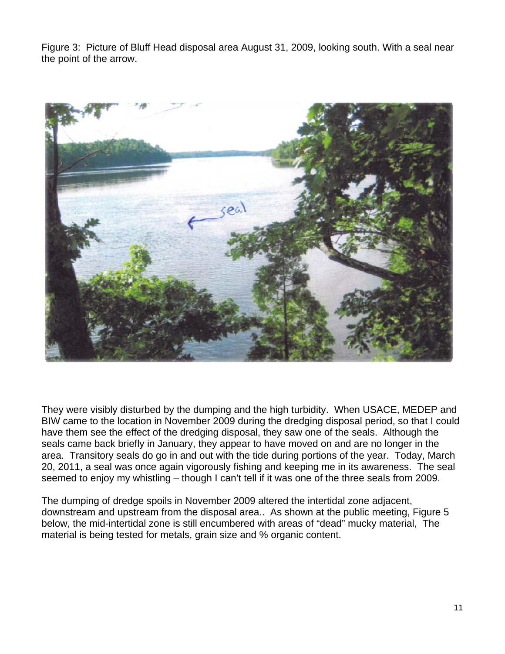Figure 3: Picture of Bluff Head disposal area August 31, 2009, looking south. With a seal near the point of the arrow.



They were visibly disturbed by the dumping and the high turbidity. When USACE, MEDEP and BIW came to the location in November 2009 during the dredging disposal period, so that I could have them see the effect of the dredging disposal, they saw one of the seals. Although the seals came back briefly in January, they appear to have moved on and are no longer in the area. Transitory seals do go in and out with the tide during portions of the year. Today, March 20, 2011, a seal was once again vigorously fishing and keeping me in its awareness. The seal seemed to enjoy my whistling – though I can't tell if it was one of the three seals from 2009.

The dumping of dredge spoils in November 2009 altered the intertidal zone adjacent, downstream and upstream from the disposal area.. As shown at the public meeting, Figure 5 below, the mid-intertidal zone is still encumbered with areas of "dead" mucky material, The material is being tested for metals, grain size and % organic content.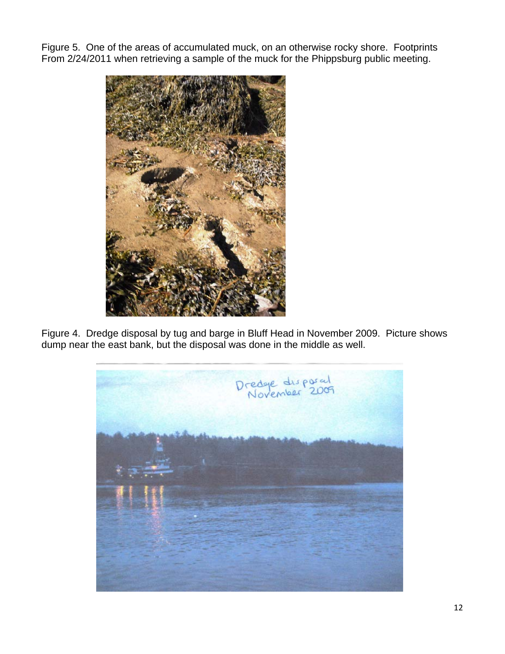Figure 5. One of the areas of accumulated muck, on an otherwise rocky shore. Footprints From 2/24/2011 when retrieving a sample of the muck for the Phippsburg public meeting.



Figure 4. Dredge disposal by tug and barge in Bluff Head in November 2009. Picture shows dump near the east bank, but the disposal was done in the middle as well.

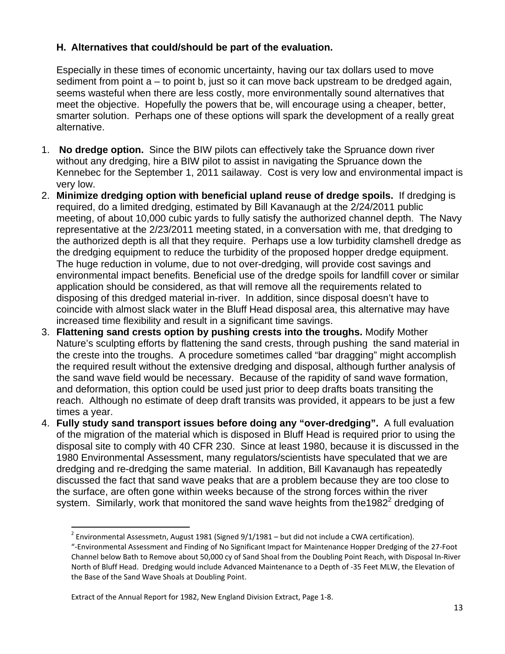## **H. Alternatives that could/should be part of the evaluation.**

Especially in these times of economic uncertainty, having our tax dollars used to move sediment from point a – to point b, just so it can move back upstream to be dredged again, seems wasteful when there are less costly, more environmentally sound alternatives that meet the objective. Hopefully the powers that be, will encourage using a cheaper, better, smarter solution. Perhaps one of these options will spark the development of a really great alternative.

- 1. **No dredge option.** Since the BIW pilots can effectively take the Spruance down river without any dredging, hire a BIW pilot to assist in navigating the Spruance down the Kennebec for the September 1, 2011 sailaway. Cost is very low and environmental impact is very low.
- 2. **Minimize dredging option with beneficial upland reuse of dredge spoils.** If dredging is required, do a limited dredging, estimated by Bill Kavanaugh at the 2/24/2011 public meeting, of about 10,000 cubic yards to fully satisfy the authorized channel depth. The Navy representative at the 2/23/2011 meeting stated, in a conversation with me, that dredging to the authorized depth is all that they require. Perhaps use a low turbidity clamshell dredge as the dredging equipment to reduce the turbidity of the proposed hopper dredge equipment. The huge reduction in volume, due to not over-dredging, will provide cost savings and environmental impact benefits. Beneficial use of the dredge spoils for landfill cover or similar application should be considered, as that will remove all the requirements related to disposing of this dredged material in-river. In addition, since disposal doesn't have to coincide with almost slack water in the Bluff Head disposal area, this alternative may have increased time flexibility and result in a significant time savings.
- 3. **Flattening sand crests option by pushing crests into the troughs.** Modify Mother Nature's sculpting efforts by flattening the sand crests, through pushing the sand material in the creste into the troughs. A procedure sometimes called "bar dragging" might accomplish the required result without the extensive dredging and disposal, although further analysis of the sand wave field would be necessary. Because of the rapidity of sand wave formation, and deformation, this option could be used just prior to deep drafts boats transiting the reach. Although no estimate of deep draft transits was provided, it appears to be just a few times a year.
- 4. **Fully study sand transport issues before doing any "over-dredging".** A full evaluation of the migration of the material which is disposed in Bluff Head is required prior to using the disposal site to comply with 40 CFR 230. Since at least 1980, because it is discussed in the 1980 Environmental Assessment, many regulators/scientists have speculated that we are dredging and re-dredging the same material. In addition, Bill Kavanaugh has repeatedly discussed the fact that sand wave peaks that are a problem because they are too close to the surface, are often gone within weeks because of the strong forces within the river system. Similarly, work that monitored the sand wave heights from the 1982 $2$  dredging of

 $^{2}$  Environmental Assessmetn, August 1981 (Signed 9/1/1981 – but did not include a CWA certification).

<sup>&</sup>quot;‐Environmental Assessment and Finding of No Significant Impact for Maintenance Hopper Dredging of the 27‐Foot Channel below Bath to Remove about 50,000 cy of Sand Shoal from the Doubling Point Reach, with Disposal In‐River North of Bluff Head. Dredging would include Advanced Maintenance to a Depth of ‐35 Feet MLW, the Elevation of the Base of the Sand Wave Shoals at Doubling Point.

Extract of the Annual Report for 1982, New England Division Extract, Page 1‐8.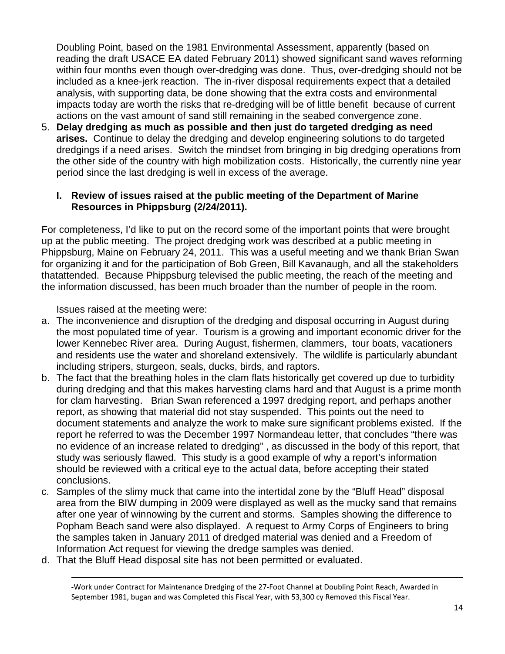Doubling Point, based on the 1981 Environmental Assessment, apparently (based on reading the draft USACE EA dated February 2011) showed significant sand waves reforming within four months even though over-dredging was done. Thus, over-dredging should not be included as a knee-jerk reaction. The in-river disposal requirements expect that a detailed analysis, with supporting data, be done showing that the extra costs and environmental impacts today are worth the risks that re-dredging will be of little benefit because of current actions on the vast amount of sand still remaining in the seabed convergence zone.

5. **Delay dredging as much as possible and then just do targeted dredging as need arises.** Continue to delay the dredging and develop engineering solutions to do targeted dredgings if a need arises. Switch the mindset from bringing in big dredging operations from the other side of the country with high mobilization costs. Historically, the currently nine year period since the last dredging is well in excess of the average.

### **I. Review of issues raised at the public meeting of the Department of Marine Resources in Phippsburg (2/24/2011).**

For completeness, I'd like to put on the record some of the important points that were brought up at the public meeting. The project dredging work was described at a public meeting in Phippsburg, Maine on February 24, 2011. This was a useful meeting and we thank Brian Swan for organizing it and for the participation of Bob Green, Bill Kavanaugh, and all the stakeholders thatattended. Because Phippsburg televised the public meeting, the reach of the meeting and the information discussed, has been much broader than the number of people in the room.

Issues raised at the meeting were:

- a. The inconvenience and disruption of the dredging and disposal occurring in August during the most populated time of year. Tourism is a growing and important economic driver for the lower Kennebec River area. During August, fishermen, clammers, tour boats, vacationers and residents use the water and shoreland extensively. The wildlife is particularly abundant including stripers, sturgeon, seals, ducks, birds, and raptors.
- b. The fact that the breathing holes in the clam flats historically get covered up due to turbidity during dredging and that this makes harvesting clams hard and that August is a prime month for clam harvesting. Brian Swan referenced a 1997 dredging report, and perhaps another report, as showing that material did not stay suspended. This points out the need to document statements and analyze the work to make sure significant problems existed. If the report he referred to was the December 1997 Normandeau letter, that concludes "there was no evidence of an increase related to dredging" , as discussed in the body of this report, that study was seriously flawed. This study is a good example of why a report's information should be reviewed with a critical eye to the actual data, before accepting their stated conclusions.
- c. Samples of the slimy muck that came into the intertidal zone by the "Bluff Head" disposal area from the BIW dumping in 2009 were displayed as well as the mucky sand that remains after one year of winnowing by the current and storms. Samples showing the difference to Popham Beach sand were also displayed. A request to Army Corps of Engineers to bring the samples taken in January 2011 of dredged material was denied and a Freedom of Information Act request for viewing the dredge samples was denied.
- d. That the Bluff Head disposal site has not been permitted or evaluated.

<u> 1989 - Johann Stoff, amerikansk politiker (d. 1989)</u>